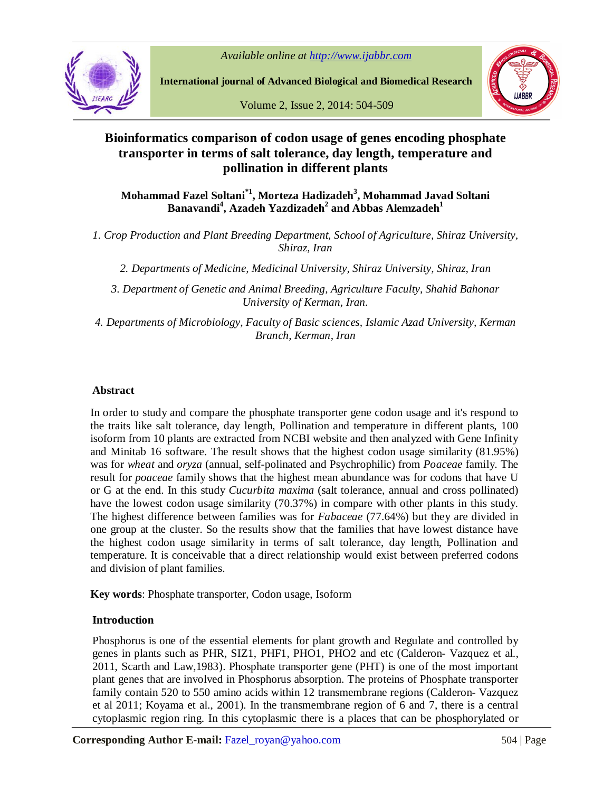*Available online at http://www.ijabbr.com*



**International journal of Advanced Biological and Biomedical Research**

Volume 2, Issue 2, 2014: 504-509



# **Bioinformatics comparison of codon usage of genes encoding phosphate transporter in terms of salt tolerance, day length, temperature and pollination in different plants**

**Mohammad Fazel Soltani\*1 , Morteza Hadizadeh<sup>3</sup> , Mohammad Javad Soltani Banavandi<sup>4</sup> , Azadeh Yazdizadeh<sup>2</sup> and Abbas Alemzadeh<sup>1</sup>**

*1. Crop Production and Plant Breeding Department, School of Agriculture, Shiraz University, Shiraz, Iran*

*2. Departments of Medicine, Medicinal University, Shiraz University, Shiraz, Iran*

*3. Department of Genetic and Animal Breeding, Agriculture Faculty, Shahid Bahonar University of Kerman, Iran.*

*4. Departments of Microbiology, Faculty of Basic sciences, Islamic Azad University, Kerman Branch, Kerman, Iran*

# **Abstract**

In order to study and compare the phosphate transporter gene codon usage and it's respond to the traits like salt tolerance, day length, Pollination and temperature in different plants, 100 isoform from 10 plants are extracted from NCBI website and then analyzed with Gene Infinity and Minitab 16 software. The result shows that the highest codon usage similarity (81.95%) was for *wheat* and *oryza* (annual, self-polinated and Psychrophilic) from *Poaceae* family. The result for *poaceae* family shows that the highest mean abundance was for codons that have U or G at the end. In this study *Cucurbita maxima* (salt tolerance, annual and cross pollinated) have the lowest codon usage similarity (70.37%) in compare with other plants in this study. The highest difference between families was for *Fabaceae* (77.64%) but they are divided in one group at the cluster. So the results show that the families that have lowest distance have the highest codon usage similarity in terms of salt tolerance, day length, Pollination and temperature. It is conceivable that a direct relationship would exist between preferred codons and division of plant families.

**Key words**: Phosphate transporter, Codon usage, Isoform

# **Introduction**

Phosphorus is one of the essential elements for plant growth and Regulate and controlled by genes in plants such as PHR, SIZ1, PHF1, PHO1, PHO2 and etc (Calderon- Vazquez et al., 2011, Scarth and Law,1983). Phosphate transporter gene (PHT) is one of the most important plant genes that are involved in Phosphorus absorption. The proteins of Phosphate transporter family contain 520 to 550 amino acids within 12 transmembrane regions (Calderon- Vazquez et al 2011; Koyama et al., 2001). In the transmembrane region of 6 and 7, there is a central cytoplasmic region ring. In this cytoplasmic there is a places that can be phosphorylated or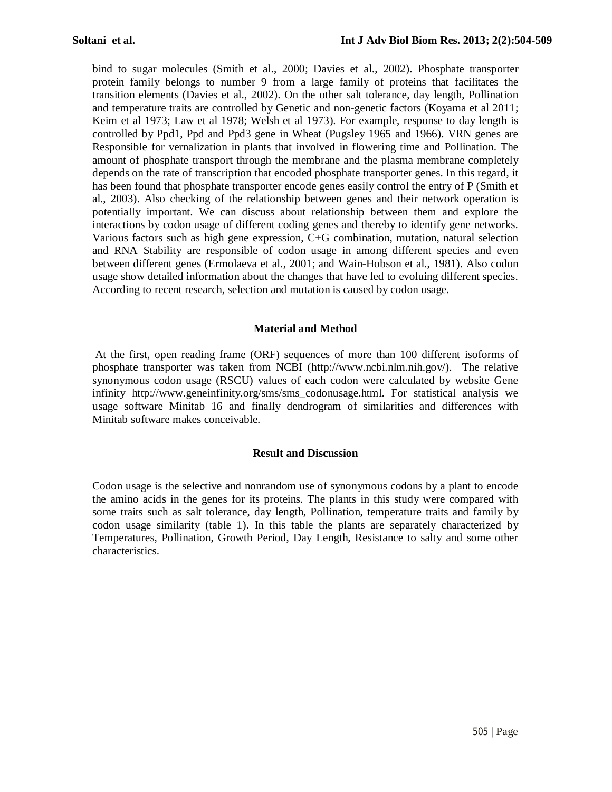bind to sugar molecules (Smith et al., 2000; Davies et al., 2002). Phosphate transporter protein family belongs to number 9 from a large family of proteins that facilitates the transition elements (Davies et al., 2002). On the other salt tolerance, day length, Pollination and temperature traits are controlled by Genetic and non-genetic factors (Koyama et al 2011; Keim et al 1973; Law et al 1978; Welsh et al 1973). For example, response to day length is controlled by Ppd1, Ppd and Ppd3 gene in Wheat (Pugsley 1965 and 1966). VRN genes are Responsible for vernalization in plants that involved in flowering time and Pollination. The amount of phosphate transport through the membrane and the plasma membrane completely depends on the rate of transcription that encoded phosphate transporter genes. In this regard, it has been found that phosphate transporter encode genes easily control the entry of P (Smith et al., 2003). Also checking of the relationship between genes and their network operation is potentially important. We can discuss about relationship between them and explore the interactions by codon usage of different coding genes and thereby to identify gene networks. Various factors such as high gene expression, C+G combination, mutation, natural selection and RNA Stability are responsible of codon usage in among different species and even between different genes (Ermolaeva et al., 2001; and Wain-Hobson et al., 1981). Also codon usage show detailed information about the changes that have led to evoluing different species. According to recent research, selection and mutation is caused by codon usage.

### **Material and Method**

At the first, open reading frame (ORF) sequences of more than 100 different isoforms of phosphate transporter was taken from NCBI (http://www.ncbi.nlm.nih.gov/). The relative synonymous codon usage (RSCU) values of each codon were calculated by website Gene infinity http://www.geneinfinity.org/sms/sms\_codonusage.html. For statistical analysis we usage software Minitab 16 and finally dendrogram of similarities and differences with Minitab software makes conceivable.

### **Result and Discussion**

Codon usage is the selective and nonrandom use of synonymous codons by a plant to encode the amino acids in the genes for its proteins. The plants in this study were compared with some traits such as salt tolerance, day length, Pollination, temperature traits and family by codon usage similarity (table 1). In this table the plants are separately characterized by Temperatures, Pollination, Growth Period, Day Length, Resistance to salty and some other characteristics.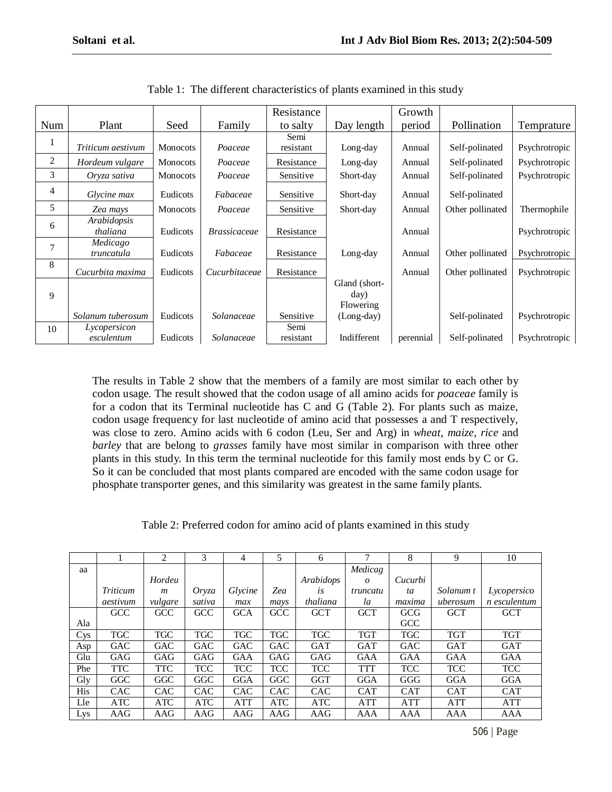|     |                   |                 |                     | Resistance |               | Growth    |                  |               |
|-----|-------------------|-----------------|---------------------|------------|---------------|-----------|------------------|---------------|
| Num | Plant             | Seed            | Family              | to salty   | Day length    | period    | Pollination      | Temprature    |
|     |                   |                 |                     | Semi       |               |           |                  |               |
| 1   | Triticum aestivum | <b>Monocots</b> | Poaceae             | resistant  | Long-day      | Annual    | Self-polinated   | Psychrotropic |
| 2   | Hordeum vulgare   | <b>Monocots</b> | Poaceae             | Resistance | Long-day      | Annual    | Self-polinated   | Psychrotropic |
| 3   | Oryza sativa      | <b>Monocots</b> | Poaceae             | Sensitive  | Short-day     | Annual    | Self-polinated   | Psychrotropic |
| 4   | Glycine max       | Eudicots        | Fabaceae            | Sensitive  | Short-day     | Annual    | Self-polinated   |               |
|     |                   |                 |                     |            |               |           |                  |               |
| 5   | Zea mays          | <b>Monocots</b> | Poaceae             | Sensitive  | Short-day     | Annual    | Other pollinated | Thermophile   |
| 6   | Arabidopsis       |                 |                     |            |               |           |                  |               |
|     | thaliana          | Eudicots        | <b>Brassicaceae</b> | Resistance |               | Annual    |                  | Psychrotropic |
|     | Medicago          |                 |                     |            |               |           |                  |               |
| 7   | truncatula        | Eudicots        | Fabaceae            | Resistance | Long-day      | Annual    | Other pollinated | Psychrotropic |
| 8   |                   |                 |                     |            |               |           |                  |               |
|     | Cucurbita maxima  | Eudicots        | Cucurbitaceae       | Resistance |               | Annual    | Other pollinated | Psychrotropic |
|     |                   |                 |                     |            | Gland (short- |           |                  |               |
| 9   |                   |                 |                     |            | day)          |           |                  |               |
|     |                   |                 |                     |            | Flowering     |           |                  |               |
|     | Solanum tuberosum | Eudicots        | Solanaceae          | Sensitive  | $(Long-day)$  |           | Self-polinated   | Psychrotropic |
| 10  | Lycopersicon      |                 |                     | Semi       |               |           |                  |               |
|     | esculentum        | Eudicots        | Solanaceae          | resistant  | Indifferent   | perennial | Self-polinated   | Psychrotropic |

Table 1: The different characteristics of plants examined in this study

The results in Table 2 show that the members of a family are most similar to each other by codon usage. The result showed that the codon usage of all amino acids for *poaceae* family is for a codon that its Terminal nucleotide has C and G (Table 2). For plants such as maize, codon usage frequency for last nucleotide of amino acid that possesses a and T respectively, was close to zero. Amino acids with 6 codon (Leu, Ser and Arg) in wheat, maize, rice and barley that are belong to grasses family have most similar in comparison with three other plants in this study. In this term the terminal nucleotide for this family most ends by C or G. So it can be concluded that most plants compared are encoded with the same codon usage for phosphate transporter genes, and this similarity was greatest in the same family plants.

Table 2: Preferred codon for amino acid of plants examined in this study

|                 |            | 2                | 3          | 4          | 5          | 6              |            | 8          | 9          | 10           |
|-----------------|------------|------------------|------------|------------|------------|----------------|------------|------------|------------|--------------|
| aa              |            |                  |            |            |            |                | Medicag    |            |            |              |
|                 |            | Hordeu           |            |            |            | Arabidops      | $\theta$   | Cucurbi    |            |              |
|                 | Triticum   | $\boldsymbol{m}$ | Oryza      | Glycine    | Zea        | l <sub>S</sub> | truncatu   | ta         | Solanum t  | Lycopersico  |
|                 | aestivum   | vulgare          | sativa     | max        | mays       | thaliana       | la         | maxima     | uberosum   | n esculentum |
|                 | <b>GCC</b> | GCC              | GCC        | <b>GCA</b> | GCC        | <b>GCT</b>     | <b>GCT</b> | GCG        | <b>GCT</b> | <b>GCT</b>   |
| Ala             |            |                  |            |            |            |                |            | <b>GCC</b> |            |              |
| C <sub>VS</sub> | <b>TGC</b> | <b>TGC</b>       | <b>TGC</b> | <b>TGC</b> | <b>TGC</b> | <b>TGC</b>     | <b>TGT</b> | <b>TGC</b> | <b>TGT</b> | <b>TGT</b>   |
| Asp             | <b>GAC</b> | <b>GAC</b>       | <b>GAC</b> | <b>GAC</b> | <b>GAC</b> | <b>GAT</b>     | <b>GAT</b> | <b>GAC</b> | <b>GAT</b> | <b>GAT</b>   |
| Glu             | GAG        | GAG              | GAG        | GAA        | GAG        | GAG            | GAA        | GAA        | GAA        | GAA          |
| Phe             | <b>TTC</b> | <b>TTC</b>       | <b>TCC</b> | <b>TCC</b> | <b>TCC</b> | <b>TCC</b>     | <b>TTT</b> | <b>TCC</b> | <b>TCC</b> | <b>TCC</b>   |
| $\rm{Gly}$      | <b>GGC</b> | GGC              | GGC        | <b>GGA</b> | GGC        | <b>GGT</b>     | GGA        | GGG        | GGA        | <b>GGA</b>   |
| <b>His</b>      | <b>CAC</b> | <b>CAC</b>       | <b>CAC</b> | <b>CAC</b> | <b>CAC</b> | <b>CAC</b>     | <b>CAT</b> | <b>CAT</b> | <b>CAT</b> | <b>CAT</b>   |
| Lle             | ATC        | <b>ATC</b>       | <b>ATC</b> | ATT        | <b>ATC</b> | <b>ATC</b>     | <b>ATT</b> | <b>ATT</b> | <b>ATT</b> | <b>ATT</b>   |
| Lys             | AAG        | AAG              | AAG        | AAG        | AAG        | AAG            | AAA        | <b>AAA</b> | AAA        | AAA          |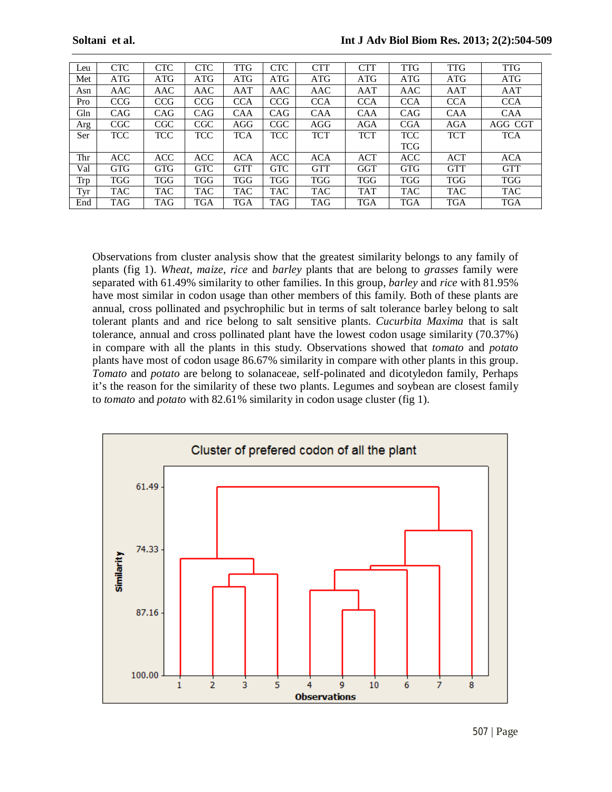| Leu        | <b>CTC</b> | CTC        | <b>CTC</b> | <b>TTG</b> | <b>CTC</b> | <b>CTT</b> | CTT        | <b>TTG</b> | <b>TTG</b> | <b>TTG</b> |
|------------|------------|------------|------------|------------|------------|------------|------------|------------|------------|------------|
| Met        | ATG        | ATG        | ATG        | ATG        | ATG        | ATG        | ATG        | <b>ATG</b> | ATG        | <b>ATG</b> |
| Asn        | AAC        | AAC        | AAC        | AAT        | AAC        | AAC        | AAT        | AAC        | AAT        | AAT        |
| Pro        | <b>CCG</b> | <b>CCG</b> | <b>CCG</b> | <b>CCA</b> | CCG        | <b>CCA</b> | <b>CCA</b> | <b>CCA</b> | <b>CCA</b> | <b>CCA</b> |
| Gln        | CAG        | CAG        | CAG        | <b>CAA</b> | CAG        | <b>CAA</b> | <b>CAA</b> | CAG        | <b>CAA</b> | <b>CAA</b> |
| Arg        | CGC        | CGC        | CGC        | AGG        | CGC        | AGG        | <b>AGA</b> | <b>CGA</b> | <b>AGA</b> | AGG CGT    |
| Ser        | TCC        | <b>TCC</b> | <b>TCC</b> | <b>TCA</b> | <b>TCC</b> | <b>TCT</b> | <b>TCT</b> | <b>TCC</b> | <b>TCT</b> | <b>TCA</b> |
|            |            |            |            |            |            |            |            | <b>TCG</b> |            |            |
| Thr        | <b>ACC</b> | <b>ACC</b> | <b>ACC</b> | <b>ACA</b> | <b>ACC</b> | <b>ACA</b> | <b>ACT</b> | <b>ACC</b> | <b>ACT</b> | ACA        |
| Val        | <b>GTG</b> | <b>GTG</b> | <b>GTC</b> | <b>GTT</b> | <b>GTC</b> | <b>GTT</b> | <b>GGT</b> | <b>GTG</b> | <b>GTT</b> | <b>GTT</b> |
| <b>Trp</b> | TGG        | TGG        | TGG        | <b>TGG</b> | TGG        | <b>TGG</b> | <b>TGG</b> | <b>TGG</b> | <b>TGG</b> | <b>TGG</b> |
| Tyr        | TAC        | TAC        | <b>TAC</b> | <b>TAC</b> | <b>TAC</b> | <b>TAC</b> | <b>TAT</b> | <b>TAC</b> | <b>TAC</b> | <b>TAC</b> |
| End        | TAG        | TAG        | TGA        | TGA        | TAG        | TAG        | <b>TGA</b> | <b>TGA</b> | <b>TGA</b> | <b>TGA</b> |

Observations from cluster analysis show that the greatest similarity belongs to any family of plants (fig 1). *Wheat*, *maize*, *rice* and *barley* plants that are belong to *grasses* family were separated with 61.49% similarity to other families. In this group, *barley* and *rice* with 81.95% have most similar in codon usage than other members of this family. Both of these plants are annual, cross pollinated and psychrophilic but in terms of salt tolerance barley belong to salt tolerant plants and and rice belong to salt sensitive plants. *Cucurbita Maxima* that is salt tolerance, annual and cross pollinated plant have the lowest codon usage similarity (70.37%) in compare with all the plants in this study. Observations showed that *tomato* and *potato* plants have most of codon usage 86.67% similarity in compare with other plants in this group. *Tomato* and *potato* are belong to solanaceae, self-polinated and dicotyledon family, Perhaps it's the reason for the similarity of these two plants. Legumes and soybean are closest family to *tomato* and *potato* with 82.61% similarity in codon usage cluster (fig 1).

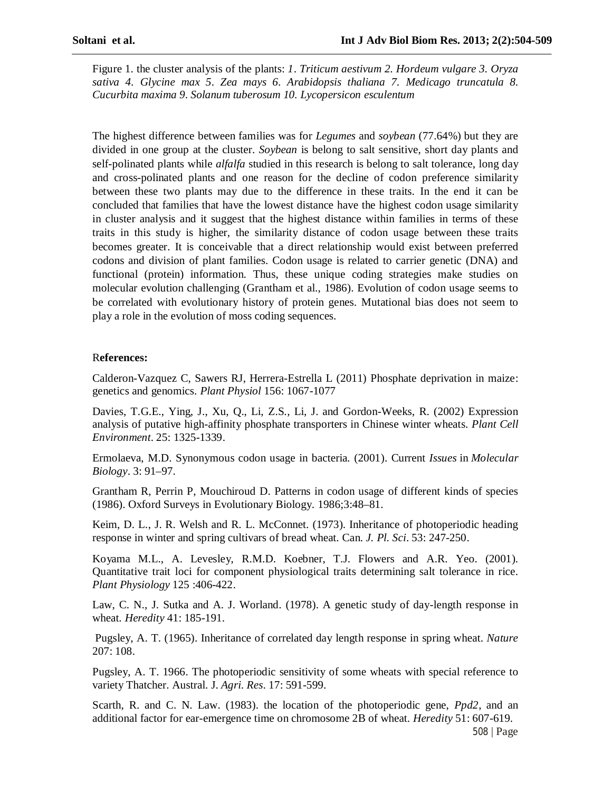Figure 1. the cluster analysis of the plants: *1*. *Triticum aestivum 2. Hordeum vulgare 3. Oryza sativa 4. Glycine max 5. Zea mays 6. Arabidopsis thaliana 7. Medicago truncatula 8. Cucurbita maxima 9. Solanum tuberosum 10. Lycopersicon esculentum*

The highest difference between families was for *Legumes* and *soybean* (77.64%) but they are divided in one group at the cluster. *Soybean* is belong to salt sensitive, short day plants and self-polinated plants while *alfalfa* studied in this research is belong to salt tolerance, long day and cross-polinated plants and one reason for the decline of codon preference similarity between these two plants may due to the difference in these traits. In the end it can be concluded that families that have the lowest distance have the highest codon usage similarity in cluster analysis and it suggest that the highest distance within families in terms of these traits in this study is higher, the similarity distance of codon usage between these traits becomes greater. It is conceivable that a direct relationship would exist between preferred codons and division of plant families. Codon usage is related to carrier genetic (DNA) and functional (protein) information. Thus, these unique coding strategies make studies on molecular evolution challenging (Grantham et al., 1986). Evolution of codon usage seems to be correlated with evolutionary history of protein genes. Mutational bias does not seem to play a role in the evolution of moss coding sequences.

### R**eferences:**

Calderon-Vazquez C, Sawers RJ, Herrera-Estrella L (2011) Phosphate deprivation in maize: genetics and genomics. *Plant Physiol* 156: 1067-1077

Davies, T.G.E., Ying, J., Xu, Q., Li, Z.S., Li, J. and Gordon-Weeks, R. (2002) Expression analysis of putative high-affinity phosphate transporters in Chinese winter wheats. *Plant Cell Environment*. 25: 1325-1339.

Ermolaeva, M.D. Synonymous codon usage in bacteria. (2001). Current *Issues* in *Molecular Biology*. 3: 91–97.

Grantham R, Perrin P, Mouchiroud D. Patterns in codon usage of different kinds of species (1986). Oxford Surveys in Evolutionary Biology. 1986;3:48–81.

Keim, D. L., J. R. Welsh and R. L. McConnet. (1973). Inheritance of photoperiodic heading response in winter and spring cultivars of bread wheat. Can. *J. Pl. Sci*. 53: 247-250.

Koyama M.L., A. Levesley, R.M.D. Koebner, T.J. Flowers and A.R. Yeo. (2001). Quantitative trait loci for component physiological traits determining salt tolerance in rice. *Plant Physiology* 125 :406-422.

Law, C. N., J. Sutka and A. J. Worland. (1978). A genetic study of day-length response in wheat. *Heredity* 41: 185-191.

Pugsley, A. T. (1965). Inheritance of correlated day length response in spring wheat. *Nature* 207: 108.

Pugsley, A. T. 1966. The photoperiodic sensitivity of some wheats with special reference to variety Thatcher. Austral. J. *Agri. Res*. 17: 591-599.

Scarth, R. and C. N. Law. (1983). the location of the photoperiodic gene, *Ppd2*, and an additional factor for ear-emergence time on chromosome 2B of wheat. *Heredity* 51: 607-619.